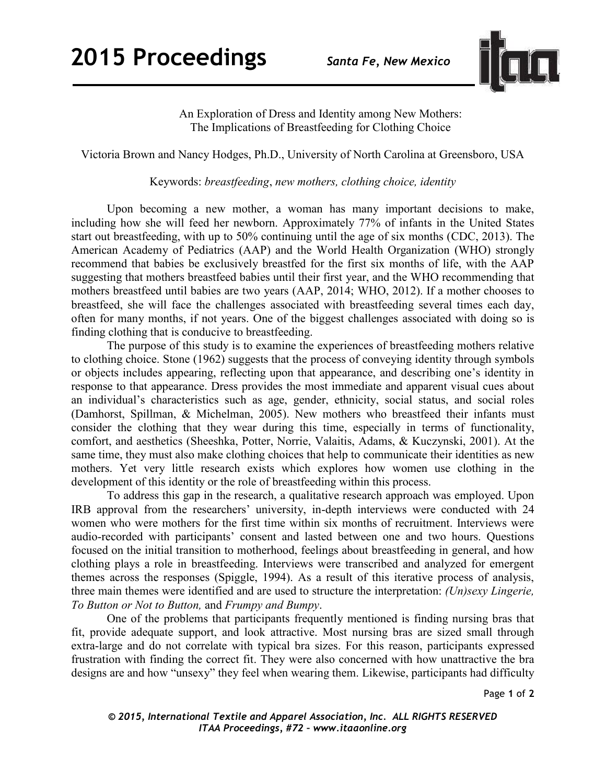

An Exploration of Dress and Identity among New Mothers: The Implications of Breastfeeding for Clothing Choice

Victoria Brown and Nancy Hodges, Ph.D., University of North Carolina at Greensboro, USA

Keywords: *breastfeeding*, *new mothers, clothing choice, identity* 

Upon becoming a new mother, a woman has many important decisions to make, including how she will feed her newborn. Approximately 77% of infants in the United States start out breastfeeding, with up to 50% continuing until the age of six months (CDC, 2013). The American Academy of Pediatrics (AAP) and the World Health Organization (WHO) strongly recommend that babies be exclusively breastfed for the first six months of life, with the AAP suggesting that mothers breastfeed babies until their first year, and the WHO recommending that mothers breastfeed until babies are two years (AAP, 2014; WHO, 2012). If a mother chooses to breastfeed, she will face the challenges associated with breastfeeding several times each day, often for many months, if not years. One of the biggest challenges associated with doing so is finding clothing that is conducive to breastfeeding.

The purpose of this study is to examine the experiences of breastfeeding mothers relative to clothing choice. Stone (1962) suggests that the process of conveying identity through symbols or objects includes appearing, reflecting upon that appearance, and describing one's identity in response to that appearance. Dress provides the most immediate and apparent visual cues about an individual's characteristics such as age, gender, ethnicity, social status, and social roles (Damhorst, Spillman, & Michelman, 2005). New mothers who breastfeed their infants must consider the clothing that they wear during this time, especially in terms of functionality, comfort, and aesthetics (Sheeshka, Potter, Norrie, Valaitis, Adams, & Kuczynski, 2001). At the same time, they must also make clothing choices that help to communicate their identities as new mothers. Yet very little research exists which explores how women use clothing in the development of this identity or the role of breastfeeding within this process.

To address this gap in the research, a qualitative research approach was employed. Upon IRB approval from the researchers' university, in-depth interviews were conducted with 24 women who were mothers for the first time within six months of recruitment. Interviews were audio-recorded with participants' consent and lasted between one and two hours. Questions focused on the initial transition to motherhood, feelings about breastfeeding in general, and how clothing plays a role in breastfeeding. Interviews were transcribed and analyzed for emergent themes across the responses (Spiggle, 1994). As a result of this iterative process of analysis, three main themes were identified and are used to structure the interpretation: *(Un)sexy Lingerie, To Button or Not to Button,* and *Frumpy and Bumpy*.

One of the problems that participants frequently mentioned is finding nursing bras that fit, provide adequate support, and look attractive. Most nursing bras are sized small through extra-large and do not correlate with typical bra sizes. For this reason, participants expressed frustration with finding the correct fit. They were also concerned with how unattractive the bra designs are and how "unsexy" they feel when wearing them. Likewise, participants had difficulty

Page **1** of **2** 

*© 2015, International Textile and Apparel Association, Inc. ALL RIGHTS RESERVED ITAA Proceedings, #72 – www.itaaonline.org*